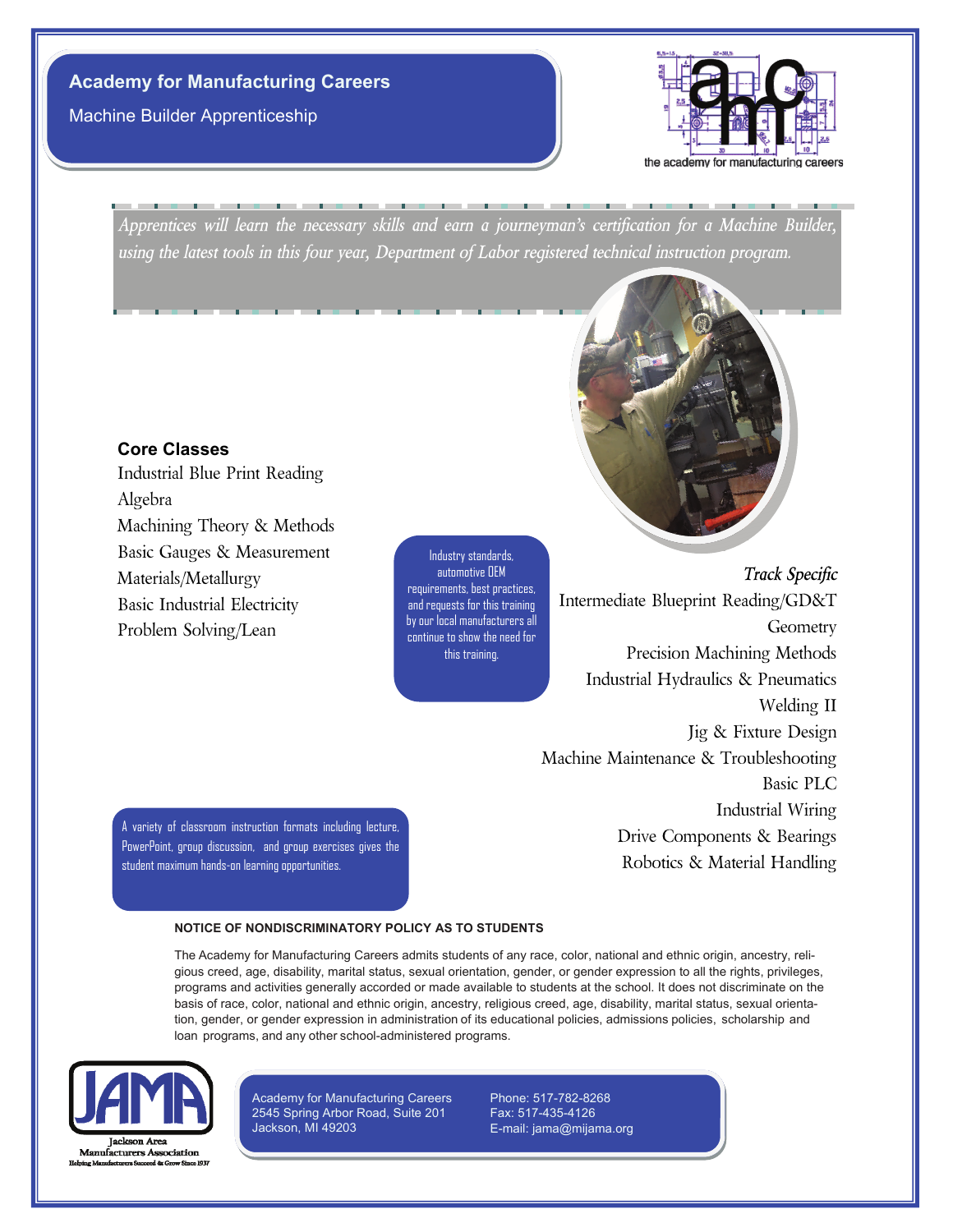# **Academy for Manufacturing Careers**

Machine Builder Apprenticeship



*Apprentices will learn the necessary skills and earn a journeyman's certification for a Machine Builder, using the latest tools in this four year, Department of Labor registered technical instruction program.*

#### **Core Classes**

Industrial Blue Print Reading Algebra Machining Theory & Methods Basic Gauges & Measurement Materials/Metallurgy Basic Industrial Electricity Problem Solving/Lean

Industry standards, automotive OEM requirements, best practices, and requests for this training by our local manufacturers all continue to show the need for this training.



A variety of classroom instruction formats including lecture, PowerPoint, group discussion, and group exercises gives the student maximum hands-on learning opportunities.

Welding II Jig & Fixture Design Machine Maintenance & Troubleshooting Basic PLC Industrial Wiring Drive Components & Bearings Robotics & Material Handling

#### **NOTICE OF NONDISCRIMINATORY POLICY AS TO STUDENTS**

The Academy for Manufacturing Careers admits students of any race, color, national and ethnic origin, ancestry, religious creed, age, disability, marital status, sexual orientation, gender, or gender expression to all the rights, privileges, programs and activities generally accorded or made available to students at the school. It does not discriminate on the basis of race, color, national and ethnic origin, ancestry, religious creed, age, disability, marital status, sexual orientation, gender, or gender expression in administration of its educational policies, admissions policies, scholarship and loan programs, and any other school-administered programs.



Academy for Manufacturing Careers 2545 Spring Arbor Road, Suite 201 Jackson, MI 49203

Phone: 517-782-8268 Fax: 517-435-4126 E-mail: jama@mijama.org